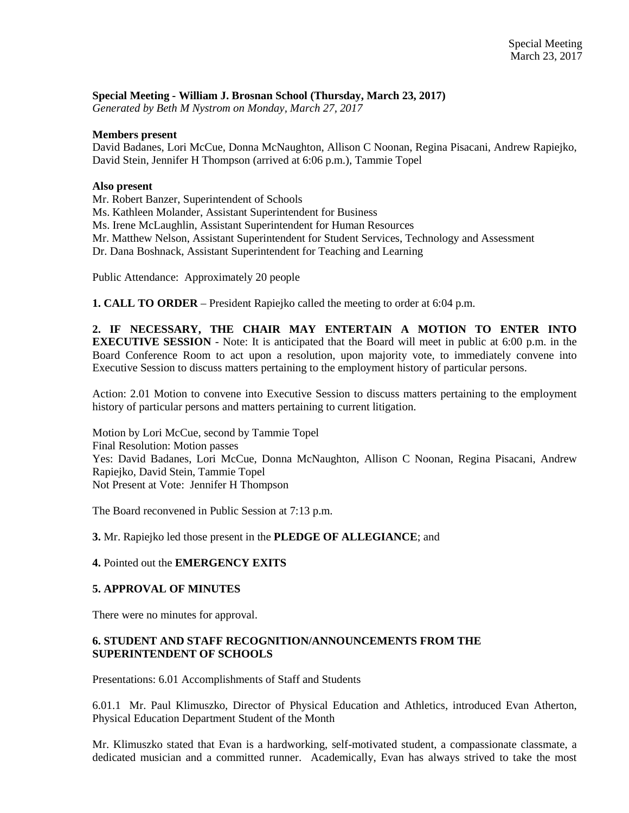#### **Special Meeting - William J. Brosnan School (Thursday, March 23, 2017)**

*Generated by Beth M Nystrom on Monday, March 27, 2017*

#### **Members present**

David Badanes, Lori McCue, Donna McNaughton, Allison C Noonan, Regina Pisacani, Andrew Rapiejko, David Stein, Jennifer H Thompson (arrived at 6:06 p.m.), Tammie Topel

#### **Also present**

Mr. Robert Banzer, Superintendent of Schools

Ms. Kathleen Molander, Assistant Superintendent for Business

Ms. Irene McLaughlin, Assistant Superintendent for Human Resources

Mr. Matthew Nelson, Assistant Superintendent for Student Services, Technology and Assessment

Dr. Dana Boshnack, Assistant Superintendent for Teaching and Learning

Public Attendance: Approximately 20 people

**1. CALL TO ORDER** – President Rapiejko called the meeting to order at 6:04 p.m.

**2. IF NECESSARY, THE CHAIR MAY ENTERTAIN A MOTION TO ENTER INTO EXECUTIVE SESSION** - Note: It is anticipated that the Board will meet in public at 6:00 p.m. in the Board Conference Room to act upon a resolution, upon majority vote, to immediately convene into Executive Session to discuss matters pertaining to the employment history of particular persons.

Action: 2.01 Motion to convene into Executive Session to discuss matters pertaining to the employment history of particular persons and matters pertaining to current litigation.

Motion by Lori McCue, second by Tammie Topel Final Resolution: Motion passes Yes: David Badanes, Lori McCue, Donna McNaughton, Allison C Noonan, Regina Pisacani, Andrew Rapiejko, David Stein, Tammie Topel Not Present at Vote: Jennifer H Thompson

The Board reconvened in Public Session at 7:13 p.m.

**3.** Mr. Rapiejko led those present in the **PLEDGE OF ALLEGIANCE**; and

#### **4.** Pointed out the **EMERGENCY EXITS**

#### **5. APPROVAL OF MINUTES**

There were no minutes for approval.

### **6. STUDENT AND STAFF RECOGNITION/ANNOUNCEMENTS FROM THE SUPERINTENDENT OF SCHOOLS**

Presentations: 6.01 Accomplishments of Staff and Students

6.01.1 Mr. Paul Klimuszko, Director of Physical Education and Athletics, introduced Evan Atherton, Physical Education Department Student of the Month

Mr. Klimuszko stated that Evan is a hardworking, self-motivated student, a compassionate classmate, a dedicated musician and a committed runner. Academically, Evan has always strived to take the most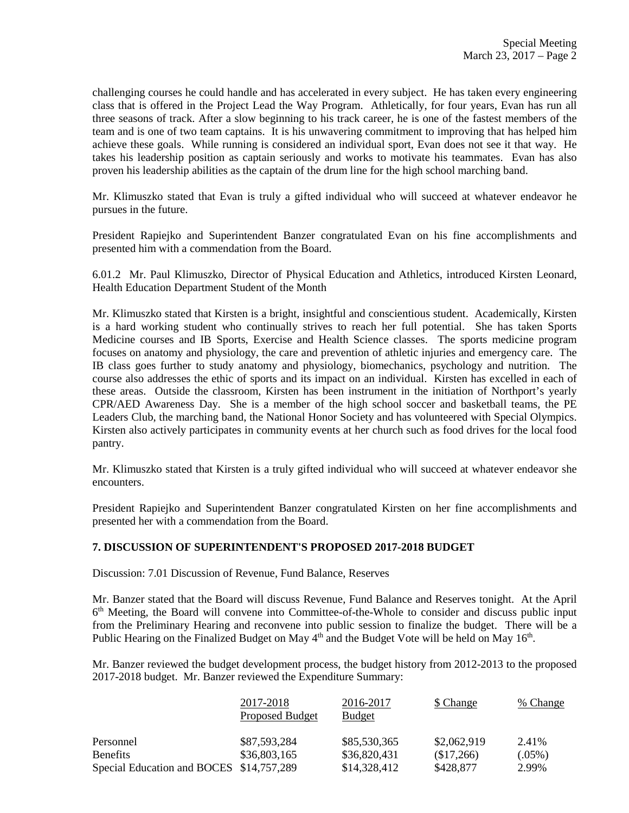challenging courses he could handle and has accelerated in every subject. He has taken every engineering class that is offered in the Project Lead the Way Program. Athletically, for four years, Evan has run all three seasons of track. After a slow beginning to his track career, he is one of the fastest members of the team and is one of two team captains. It is his unwavering commitment to improving that has helped him achieve these goals. While running is considered an individual sport, Evan does not see it that way. He takes his leadership position as captain seriously and works to motivate his teammates. Evan has also proven his leadership abilities as the captain of the drum line for the high school marching band.

Mr. Klimuszko stated that Evan is truly a gifted individual who will succeed at whatever endeavor he pursues in the future.

President Rapiejko and Superintendent Banzer congratulated Evan on his fine accomplishments and presented him with a commendation from the Board.

6.01.2 Mr. Paul Klimuszko, Director of Physical Education and Athletics, introduced Kirsten Leonard, Health Education Department Student of the Month

Mr. Klimuszko stated that Kirsten is a bright, insightful and conscientious student. Academically, Kirsten is a hard working student who continually strives to reach her full potential. She has taken Sports Medicine courses and IB Sports, Exercise and Health Science classes. The sports medicine program focuses on anatomy and physiology, the care and prevention of athletic injuries and emergency care. The IB class goes further to study anatomy and physiology, biomechanics, psychology and nutrition. The course also addresses the ethic of sports and its impact on an individual. Kirsten has excelled in each of these areas. Outside the classroom, Kirsten has been instrument in the initiation of Northport's yearly CPR/AED Awareness Day. She is a member of the high school soccer and basketball teams, the PE Leaders Club, the marching band, the National Honor Society and has volunteered with Special Olympics. Kirsten also actively participates in community events at her church such as food drives for the local food pantry.

Mr. Klimuszko stated that Kirsten is a truly gifted individual who will succeed at whatever endeavor she encounters.

President Rapiejko and Superintendent Banzer congratulated Kirsten on her fine accomplishments and presented her with a commendation from the Board.

#### **7. DISCUSSION OF SUPERINTENDENT'S PROPOSED 2017-2018 BUDGET**

Discussion: 7.01 Discussion of Revenue, Fund Balance, Reserves

Mr. Banzer stated that the Board will discuss Revenue, Fund Balance and Reserves tonight. At the April 6<sup>th</sup> Meeting, the Board will convene into Committee-of-the-Whole to consider and discuss public input from the Preliminary Hearing and reconvene into public session to finalize the budget. There will be a Public Hearing on the Finalized Budget on May  $4<sup>th</sup>$  and the Budget Vote will be held on May  $16<sup>th</sup>$ .

Mr. Banzer reviewed the budget development process, the budget history from 2012-2013 to the proposed 2017-2018 budget. Mr. Banzer reviewed the Expenditure Summary:

|                                          | 2017-2018<br>Proposed Budget | 2016-2017<br><b>Budget</b> | \$ Change   | % Change  |
|------------------------------------------|------------------------------|----------------------------|-------------|-----------|
| Personnel                                | \$87,593,284                 | \$85,530,365               | \$2,062,919 | 2.41%     |
| <b>Benefits</b>                          | \$36,803,165                 | \$36,820,431               | (\$17,266)  | $(.05\%)$ |
| Special Education and BOCES \$14,757,289 |                              | \$14,328,412               | \$428,877   | 2.99%     |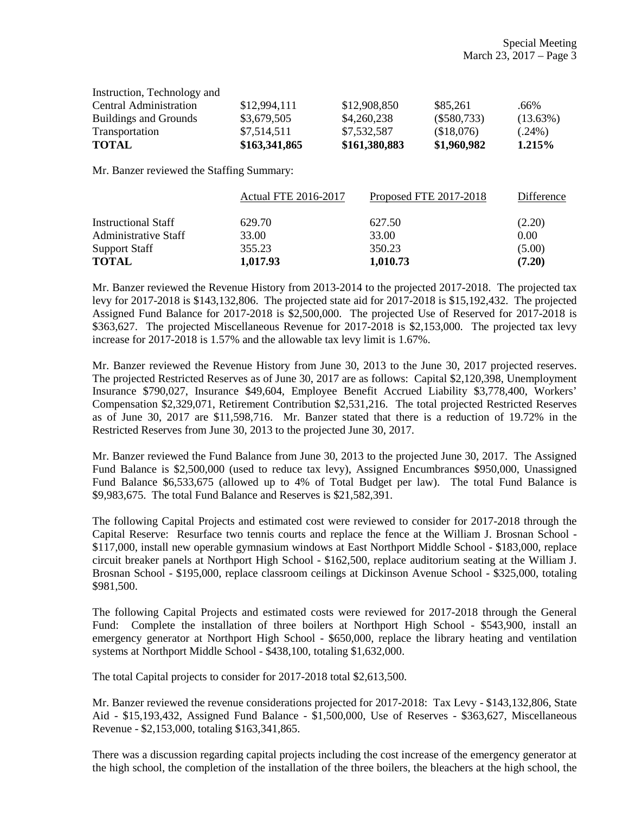| <b>Buildings and Grounds</b> | \$3,679,505   | \$4,260,238   | $(\$580,733)$ | $(13.63\%)$ |
|------------------------------|---------------|---------------|---------------|-------------|
| Transportation               | \$7,514,511   | \$7,532,587   | (\$18,076)    | $(.24\%)$   |
| <b>TOTAL</b>                 | \$163,341,865 | \$161,380,883 | \$1,960,982   | 1.215%      |

Mr. Banzer reviewed the Staffing Summary:

|                             | <b>Actual FTE 2016-2017</b> | Proposed FTE 2017-2018 | Difference |
|-----------------------------|-----------------------------|------------------------|------------|
| <b>Instructional Staff</b>  | 629.70                      | 627.50                 | (2.20)     |
| <b>Administrative Staff</b> | 33.00                       | 33.00                  | 0.00       |
| <b>Support Staff</b>        | 355.23                      | 350.23                 | (5.00)     |
| <b>TOTAL</b>                | 1,017.93                    | 1,010.73               | (7.20)     |

Mr. Banzer reviewed the Revenue History from 2013-2014 to the projected 2017-2018. The projected tax levy for 2017-2018 is \$143,132,806. The projected state aid for 2017-2018 is \$15,192,432. The projected Assigned Fund Balance for 2017-2018 is \$2,500,000. The projected Use of Reserved for 2017-2018 is \$363,627. The projected Miscellaneous Revenue for 2017-2018 is \$2,153,000. The projected tax levy increase for 2017-2018 is 1.57% and the allowable tax levy limit is 1.67%.

Mr. Banzer reviewed the Revenue History from June 30, 2013 to the June 30, 2017 projected reserves. The projected Restricted Reserves as of June 30, 2017 are as follows: Capital \$2,120,398, Unemployment Insurance \$790,027, Insurance \$49,604, Employee Benefit Accrued Liability \$3,778,400, Workers' Compensation \$2,329,071, Retirement Contribution \$2,531,216. The total projected Restricted Reserves as of June 30, 2017 are \$11,598,716. Mr. Banzer stated that there is a reduction of 19.72% in the Restricted Reserves from June 30, 2013 to the projected June 30, 2017.

Mr. Banzer reviewed the Fund Balance from June 30, 2013 to the projected June 30, 2017. The Assigned Fund Balance is \$2,500,000 (used to reduce tax levy), Assigned Encumbrances \$950,000, Unassigned Fund Balance \$6,533,675 (allowed up to 4% of Total Budget per law). The total Fund Balance is \$9,983,675. The total Fund Balance and Reserves is \$21,582,391.

The following Capital Projects and estimated cost were reviewed to consider for 2017-2018 through the Capital Reserve: Resurface two tennis courts and replace the fence at the William J. Brosnan School - \$117,000, install new operable gymnasium windows at East Northport Middle School - \$183,000, replace circuit breaker panels at Northport High School - \$162,500, replace auditorium seating at the William J. Brosnan School - \$195,000, replace classroom ceilings at Dickinson Avenue School - \$325,000, totaling \$981,500.

The following Capital Projects and estimated costs were reviewed for 2017-2018 through the General Fund: Complete the installation of three boilers at Northport High School - \$543,900, install an emergency generator at Northport High School - \$650,000, replace the library heating and ventilation systems at Northport Middle School - \$438,100, totaling \$1,632,000.

The total Capital projects to consider for 2017-2018 total \$2,613,500.

Mr. Banzer reviewed the revenue considerations projected for 2017-2018: Tax Levy - \$143,132,806, State Aid - \$15,193,432, Assigned Fund Balance - \$1,500,000, Use of Reserves - \$363,627, Miscellaneous Revenue - \$2,153,000, totaling \$163,341,865.

There was a discussion regarding capital projects including the cost increase of the emergency generator at the high school, the completion of the installation of the three boilers, the bleachers at the high school, the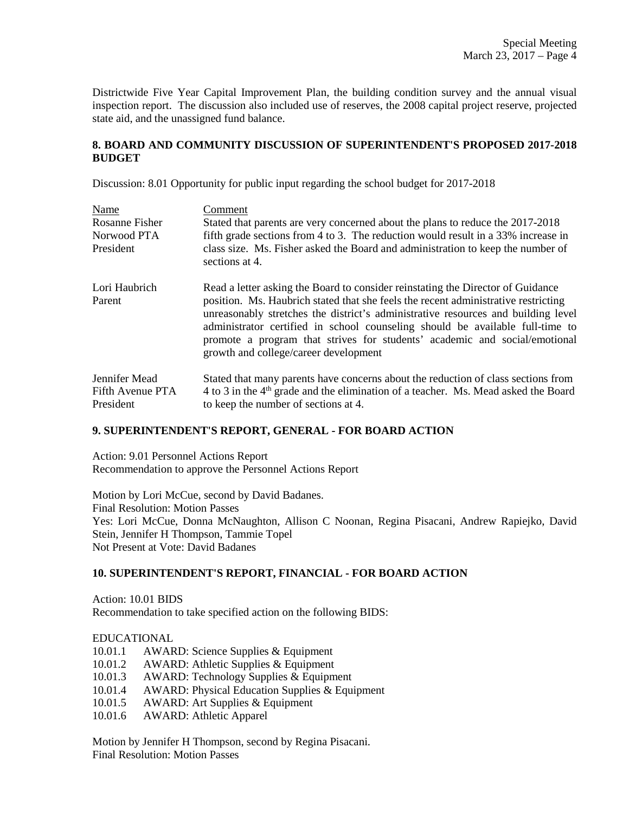Districtwide Five Year Capital Improvement Plan, the building condition survey and the annual visual inspection report. The discussion also included use of reserves, the 2008 capital project reserve, projected state aid, and the unassigned fund balance.

### **8. BOARD AND COMMUNITY DISCUSSION OF SUPERINTENDENT'S PROPOSED 2017-2018 BUDGET**

Discussion: 8.01 Opportunity for public input regarding the school budget for 2017-2018

| Name                                           | Comment                                                                                                                                                                                                                                                                                                                                                                                                                                                            |
|------------------------------------------------|--------------------------------------------------------------------------------------------------------------------------------------------------------------------------------------------------------------------------------------------------------------------------------------------------------------------------------------------------------------------------------------------------------------------------------------------------------------------|
| Rosanne Fisher                                 | Stated that parents are very concerned about the plans to reduce the 2017-2018                                                                                                                                                                                                                                                                                                                                                                                     |
| Norwood PTA                                    | fifth grade sections from 4 to 3. The reduction would result in a 33% increase in                                                                                                                                                                                                                                                                                                                                                                                  |
| President                                      | class size. Ms. Fisher asked the Board and administration to keep the number of<br>sections at 4.                                                                                                                                                                                                                                                                                                                                                                  |
| Lori Haubrich<br>Parent                        | Read a letter asking the Board to consider reinstating the Director of Guidance<br>position. Ms. Haubrich stated that she feels the recent administrative restricting<br>unreasonably stretches the district's administrative resources and building level<br>administrator certified in school counseling should be available full-time to<br>promote a program that strives for students' academic and social/emotional<br>growth and college/career development |
| Jennifer Mead<br>Fifth Avenue PTA<br>President | Stated that many parents have concerns about the reduction of class sections from<br>4 to 3 in the 4 <sup>th</sup> grade and the elimination of a teacher. Ms. Mead asked the Board<br>to keep the number of sections at 4.                                                                                                                                                                                                                                        |

## **9. SUPERINTENDENT'S REPORT, GENERAL - FOR BOARD ACTION**

Action: 9.01 Personnel Actions Report Recommendation to approve the Personnel Actions Report

Motion by Lori McCue, second by David Badanes. Final Resolution: Motion Passes Yes: Lori McCue, Donna McNaughton, Allison C Noonan, Regina Pisacani, Andrew Rapiejko, David Stein, Jennifer H Thompson, Tammie Topel Not Present at Vote: David Badanes

## **10. SUPERINTENDENT'S REPORT, FINANCIAL - FOR BOARD ACTION**

Action: 10.01 BIDS Recommendation to take specified action on the following BIDS:

### EDUCATIONAL

- 10.01.2 AWARD: Athletic Supplies & Equipment
- 10.01.3 AWARD: Technology Supplies & Equipment
- 10.01.4 AWARD: Physical Education Supplies & Equipment
- 10.01.5 AWARD: Art Supplies & Equipment
- 10.01.6 AWARD: Athletic Apparel

Motion by Jennifer H Thompson, second by Regina Pisacani. Final Resolution: Motion Passes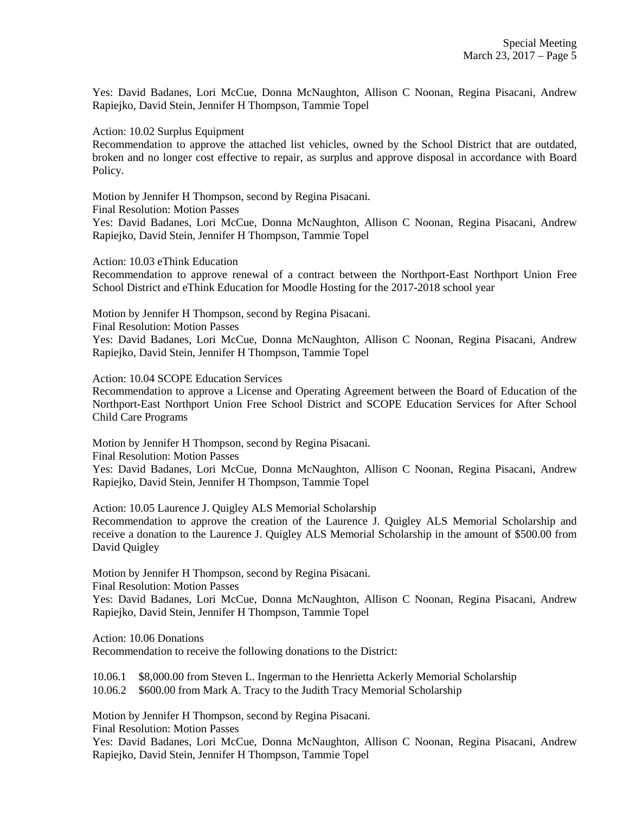Yes: David Badanes, Lori McCue, Donna McNaughton, Allison C Noonan, Regina Pisacani, Andrew Rapiejko, David Stein, Jennifer H Thompson, Tammie Topel

Action: 10.02 Surplus Equipment

Recommendation to approve the attached list vehicles, owned by the School District that are outdated, broken and no longer cost effective to repair, as surplus and approve disposal in accordance with Board Policy.

Motion by Jennifer H Thompson, second by Regina Pisacani.

Final Resolution: Motion Passes

Yes: David Badanes, Lori McCue, Donna McNaughton, Allison C Noonan, Regina Pisacani, Andrew Rapiejko, David Stein, Jennifer H Thompson, Tammie Topel

Action: 10.03 eThink Education

Recommendation to approve renewal of a contract between the Northport-East Northport Union Free School District and eThink Education for Moodle Hosting for the 2017-2018 school year

Motion by Jennifer H Thompson, second by Regina Pisacani.

Final Resolution: Motion Passes

Yes: David Badanes, Lori McCue, Donna McNaughton, Allison C Noonan, Regina Pisacani, Andrew Rapiejko, David Stein, Jennifer H Thompson, Tammie Topel

Action: 10.04 SCOPE Education Services

Recommendation to approve a License and Operating Agreement between the Board of Education of the Northport-East Northport Union Free School District and SCOPE Education Services for After School Child Care Programs

Motion by Jennifer H Thompson, second by Regina Pisacani.

Final Resolution: Motion Passes

Yes: David Badanes, Lori McCue, Donna McNaughton, Allison C Noonan, Regina Pisacani, Andrew Rapiejko, David Stein, Jennifer H Thompson, Tammie Topel

Action: 10.05 Laurence J. Quigley ALS Memorial Scholarship

Recommendation to approve the creation of the Laurence J. Quigley ALS Memorial Scholarship and receive a donation to the Laurence J. Quigley ALS Memorial Scholarship in the amount of \$500.00 from David Quigley

Motion by Jennifer H Thompson, second by Regina Pisacani.

Final Resolution: Motion Passes

Yes: David Badanes, Lori McCue, Donna McNaughton, Allison C Noonan, Regina Pisacani, Andrew Rapiejko, David Stein, Jennifer H Thompson, Tammie Topel

Action: 10.06 Donations

Recommendation to receive the following donations to the District:

10.06.1 \$8,000.00 from Steven L. Ingerman to the Henrietta Ackerly Memorial Scholarship 10.06.2 \$600.00 from Mark A. Tracy to the Judith Tracy Memorial Scholarship

Motion by Jennifer H Thompson, second by Regina Pisacani.

Final Resolution: Motion Passes

Yes: David Badanes, Lori McCue, Donna McNaughton, Allison C Noonan, Regina Pisacani, Andrew Rapiejko, David Stein, Jennifer H Thompson, Tammie Topel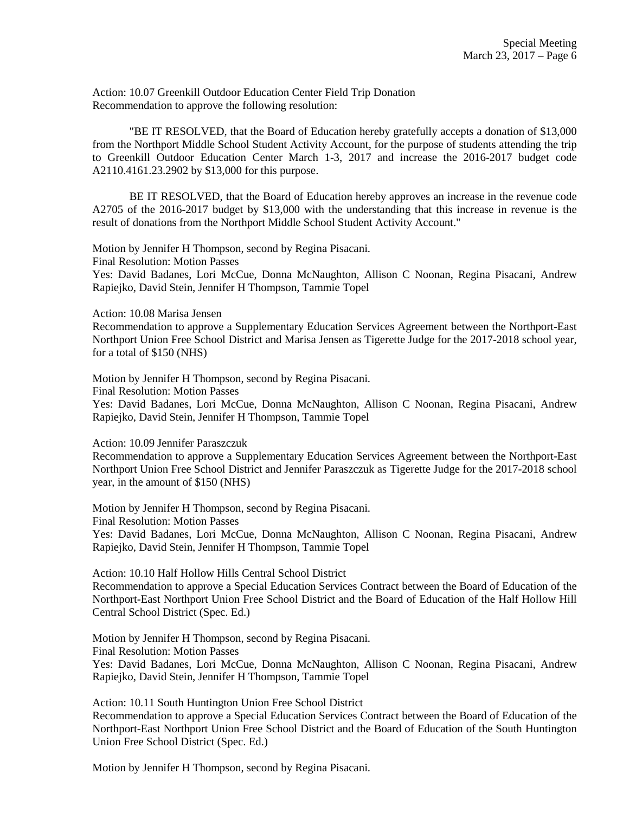Action: 10.07 Greenkill Outdoor Education Center Field Trip Donation Recommendation to approve the following resolution:

"BE IT RESOLVED, that the Board of Education hereby gratefully accepts a donation of \$13,000 from the Northport Middle School Student Activity Account, for the purpose of students attending the trip to Greenkill Outdoor Education Center March 1-3, 2017 and increase the 2016-2017 budget code A2110.4161.23.2902 by \$13,000 for this purpose.

BE IT RESOLVED, that the Board of Education hereby approves an increase in the revenue code A2705 of the 2016-2017 budget by \$13,000 with the understanding that this increase in revenue is the result of donations from the Northport Middle School Student Activity Account."

Motion by Jennifer H Thompson, second by Regina Pisacani.

Final Resolution: Motion Passes

Yes: David Badanes, Lori McCue, Donna McNaughton, Allison C Noonan, Regina Pisacani, Andrew Rapiejko, David Stein, Jennifer H Thompson, Tammie Topel

Action: 10.08 Marisa Jensen

Recommendation to approve a Supplementary Education Services Agreement between the Northport-East Northport Union Free School District and Marisa Jensen as Tigerette Judge for the 2017-2018 school year, for a total of \$150 (NHS)

Motion by Jennifer H Thompson, second by Regina Pisacani.

Final Resolution: Motion Passes

Yes: David Badanes, Lori McCue, Donna McNaughton, Allison C Noonan, Regina Pisacani, Andrew Rapiejko, David Stein, Jennifer H Thompson, Tammie Topel

Action: 10.09 Jennifer Paraszczuk

Recommendation to approve a Supplementary Education Services Agreement between the Northport-East Northport Union Free School District and Jennifer Paraszczuk as Tigerette Judge for the 2017-2018 school year, in the amount of \$150 (NHS)

Motion by Jennifer H Thompson, second by Regina Pisacani.

Final Resolution: Motion Passes

Yes: David Badanes, Lori McCue, Donna McNaughton, Allison C Noonan, Regina Pisacani, Andrew Rapiejko, David Stein, Jennifer H Thompson, Tammie Topel

Action: 10.10 Half Hollow Hills Central School District

Recommendation to approve a Special Education Services Contract between the Board of Education of the Northport-East Northport Union Free School District and the Board of Education of the Half Hollow Hill Central School District (Spec. Ed.)

Motion by Jennifer H Thompson, second by Regina Pisacani. Final Resolution: Motion Passes Yes: David Badanes, Lori McCue, Donna McNaughton, Allison C Noonan, Regina Pisacani, Andrew Rapiejko, David Stein, Jennifer H Thompson, Tammie Topel

Action: 10.11 South Huntington Union Free School District Recommendation to approve a Special Education Services Contract between the Board of Education of the Northport-East Northport Union Free School District and the Board of Education of the South Huntington Union Free School District (Spec. Ed.)

Motion by Jennifer H Thompson, second by Regina Pisacani.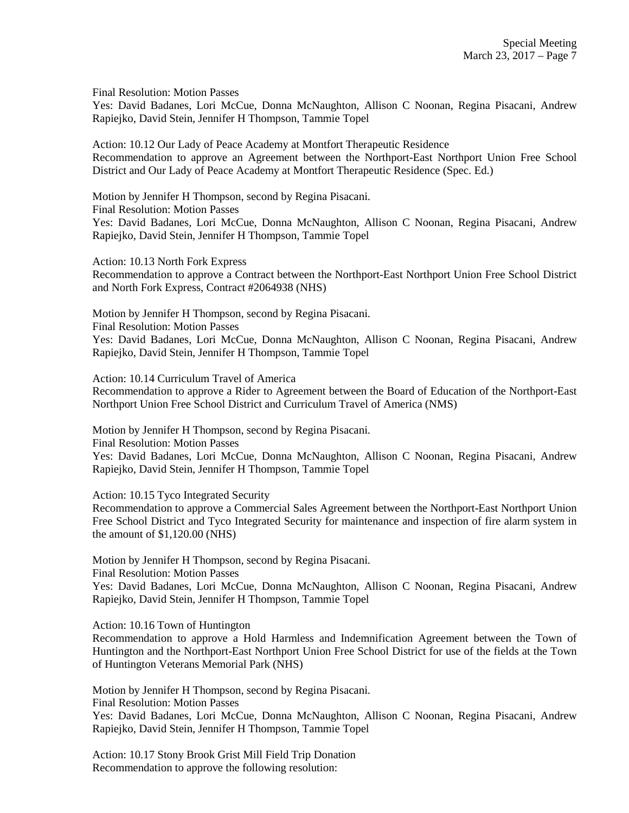Final Resolution: Motion Passes

Yes: David Badanes, Lori McCue, Donna McNaughton, Allison C Noonan, Regina Pisacani, Andrew Rapiejko, David Stein, Jennifer H Thompson, Tammie Topel

Action: 10.12 Our Lady of Peace Academy at Montfort Therapeutic Residence Recommendation to approve an Agreement between the Northport-East Northport Union Free School District and Our Lady of Peace Academy at Montfort Therapeutic Residence (Spec. Ed.)

Motion by Jennifer H Thompson, second by Regina Pisacani. Final Resolution: Motion Passes Yes: David Badanes, Lori McCue, Donna McNaughton, Allison C Noonan, Regina Pisacani, Andrew Rapiejko, David Stein, Jennifer H Thompson, Tammie Topel

Action: 10.13 North Fork Express

Recommendation to approve a Contract between the Northport-East Northport Union Free School District and North Fork Express, Contract #2064938 (NHS)

Motion by Jennifer H Thompson, second by Regina Pisacani.

Final Resolution: Motion Passes

Yes: David Badanes, Lori McCue, Donna McNaughton, Allison C Noonan, Regina Pisacani, Andrew Rapiejko, David Stein, Jennifer H Thompson, Tammie Topel

Action: 10.14 Curriculum Travel of America

Recommendation to approve a Rider to Agreement between the Board of Education of the Northport-East Northport Union Free School District and Curriculum Travel of America (NMS)

Motion by Jennifer H Thompson, second by Regina Pisacani.

Final Resolution: Motion Passes

Yes: David Badanes, Lori McCue, Donna McNaughton, Allison C Noonan, Regina Pisacani, Andrew Rapiejko, David Stein, Jennifer H Thompson, Tammie Topel

Action: 10.15 Tyco Integrated Security

Recommendation to approve a Commercial Sales Agreement between the Northport-East Northport Union Free School District and Tyco Integrated Security for maintenance and inspection of fire alarm system in the amount of \$1,120.00 (NHS)

Motion by Jennifer H Thompson, second by Regina Pisacani. Final Resolution: Motion Passes

Yes: David Badanes, Lori McCue, Donna McNaughton, Allison C Noonan, Regina Pisacani, Andrew Rapiejko, David Stein, Jennifer H Thompson, Tammie Topel

Action: 10.16 Town of Huntington

Recommendation to approve a Hold Harmless and Indemnification Agreement between the Town of Huntington and the Northport-East Northport Union Free School District for use of the fields at the Town of Huntington Veterans Memorial Park (NHS)

Motion by Jennifer H Thompson, second by Regina Pisacani. Final Resolution: Motion Passes

Yes: David Badanes, Lori McCue, Donna McNaughton, Allison C Noonan, Regina Pisacani, Andrew Rapiejko, David Stein, Jennifer H Thompson, Tammie Topel

Action: 10.17 Stony Brook Grist Mill Field Trip Donation Recommendation to approve the following resolution: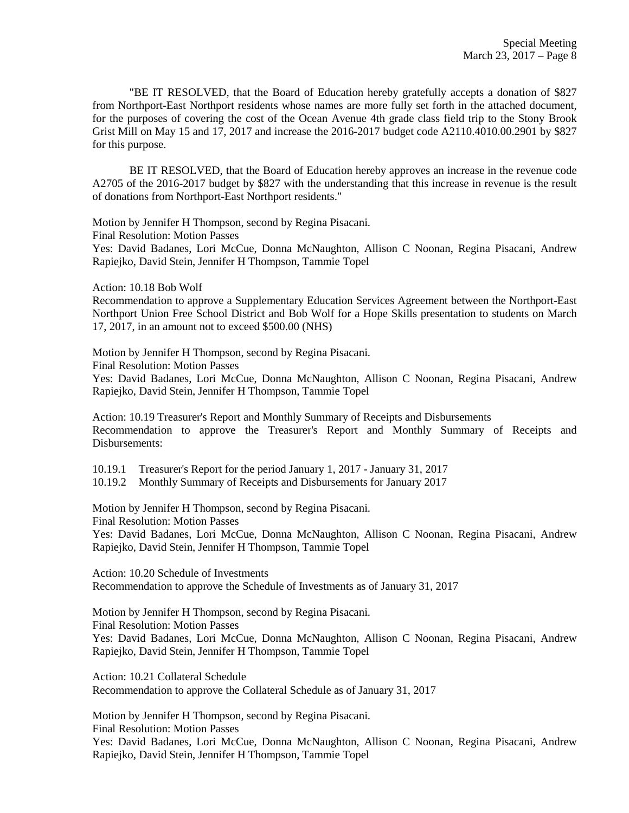"BE IT RESOLVED, that the Board of Education hereby gratefully accepts a donation of \$827 from Northport-East Northport residents whose names are more fully set forth in the attached document, for the purposes of covering the cost of the Ocean Avenue 4th grade class field trip to the Stony Brook Grist Mill on May 15 and 17, 2017 and increase the 2016-2017 budget code A2110.4010.00.2901 by \$827 for this purpose.

BE IT RESOLVED, that the Board of Education hereby approves an increase in the revenue code A2705 of the 2016-2017 budget by \$827 with the understanding that this increase in revenue is the result of donations from Northport-East Northport residents."

Motion by Jennifer H Thompson, second by Regina Pisacani.

Final Resolution: Motion Passes

Yes: David Badanes, Lori McCue, Donna McNaughton, Allison C Noonan, Regina Pisacani, Andrew Rapiejko, David Stein, Jennifer H Thompson, Tammie Topel

Action: 10.18 Bob Wolf

Recommendation to approve a Supplementary Education Services Agreement between the Northport-East Northport Union Free School District and Bob Wolf for a Hope Skills presentation to students on March 17, 2017, in an amount not to exceed \$500.00 (NHS)

Motion by Jennifer H Thompson, second by Regina Pisacani.

Final Resolution: Motion Passes

Yes: David Badanes, Lori McCue, Donna McNaughton, Allison C Noonan, Regina Pisacani, Andrew Rapiejko, David Stein, Jennifer H Thompson, Tammie Topel

Action: 10.19 Treasurer's Report and Monthly Summary of Receipts and Disbursements Recommendation to approve the Treasurer's Report and Monthly Summary of Receipts and Disbursements:

10.19.1 Treasurer's Report for the period January 1, 2017 - January 31, 2017

10.19.2 Monthly Summary of Receipts and Disbursements for January 2017

Motion by Jennifer H Thompson, second by Regina Pisacani. Final Resolution: Motion Passes

Yes: David Badanes, Lori McCue, Donna McNaughton, Allison C Noonan, Regina Pisacani, Andrew Rapiejko, David Stein, Jennifer H Thompson, Tammie Topel

Action: 10.20 Schedule of Investments Recommendation to approve the Schedule of Investments as of January 31, 2017

Motion by Jennifer H Thompson, second by Regina Pisacani. Final Resolution: Motion Passes Yes: David Badanes, Lori McCue, Donna McNaughton, Allison C Noonan, Regina Pisacani, Andrew Rapiejko, David Stein, Jennifer H Thompson, Tammie Topel

Action: 10.21 Collateral Schedule Recommendation to approve the Collateral Schedule as of January 31, 2017

Motion by Jennifer H Thompson, second by Regina Pisacani. Final Resolution: Motion Passes Yes: David Badanes, Lori McCue, Donna McNaughton, Allison C Noonan, Regina Pisacani, Andrew Rapiejko, David Stein, Jennifer H Thompson, Tammie Topel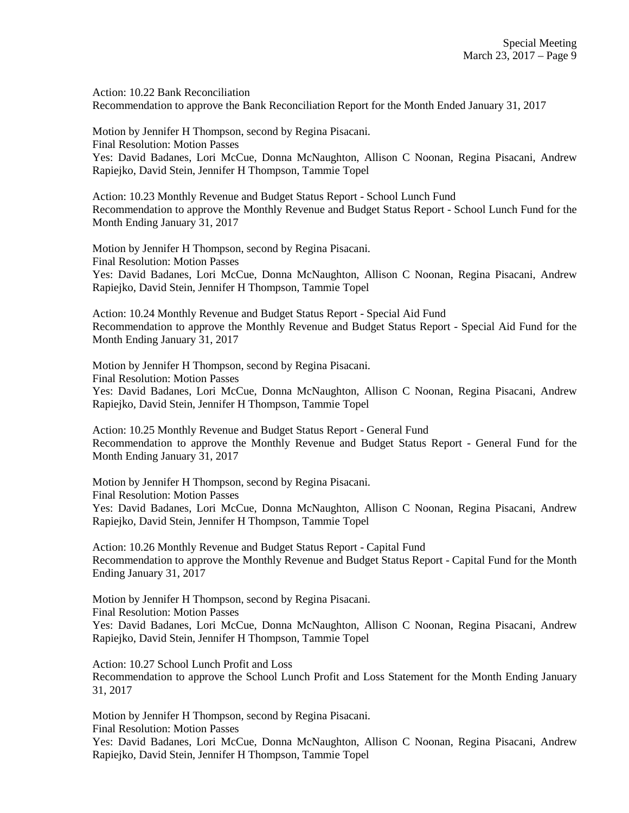Action: 10.22 Bank Reconciliation Recommendation to approve the Bank Reconciliation Report for the Month Ended January 31, 2017

Motion by Jennifer H Thompson, second by Regina Pisacani. Final Resolution: Motion Passes Yes: David Badanes, Lori McCue, Donna McNaughton, Allison C Noonan, Regina Pisacani, Andrew Rapiejko, David Stein, Jennifer H Thompson, Tammie Topel

Action: 10.23 Monthly Revenue and Budget Status Report - School Lunch Fund Recommendation to approve the Monthly Revenue and Budget Status Report - School Lunch Fund for the Month Ending January 31, 2017

Motion by Jennifer H Thompson, second by Regina Pisacani. Final Resolution: Motion Passes Yes: David Badanes, Lori McCue, Donna McNaughton, Allison C Noonan, Regina Pisacani, Andrew Rapiejko, David Stein, Jennifer H Thompson, Tammie Topel

Action: 10.24 Monthly Revenue and Budget Status Report - Special Aid Fund Recommendation to approve the Monthly Revenue and Budget Status Report - Special Aid Fund for the Month Ending January 31, 2017

Motion by Jennifer H Thompson, second by Regina Pisacani. Final Resolution: Motion Passes Yes: David Badanes, Lori McCue, Donna McNaughton, Allison C Noonan, Regina Pisacani, Andrew Rapiejko, David Stein, Jennifer H Thompson, Tammie Topel

Action: 10.25 Monthly Revenue and Budget Status Report - General Fund Recommendation to approve the Monthly Revenue and Budget Status Report - General Fund for the Month Ending January 31, 2017

Motion by Jennifer H Thompson, second by Regina Pisacani. Final Resolution: Motion Passes Yes: David Badanes, Lori McCue, Donna McNaughton, Allison C Noonan, Regina Pisacani, Andrew Rapiejko, David Stein, Jennifer H Thompson, Tammie Topel

Action: 10.26 Monthly Revenue and Budget Status Report - Capital Fund Recommendation to approve the Monthly Revenue and Budget Status Report - Capital Fund for the Month Ending January 31, 2017

Motion by Jennifer H Thompson, second by Regina Pisacani. Final Resolution: Motion Passes Yes: David Badanes, Lori McCue, Donna McNaughton, Allison C Noonan, Regina Pisacani, Andrew Rapiejko, David Stein, Jennifer H Thompson, Tammie Topel

Action: 10.27 School Lunch Profit and Loss Recommendation to approve the School Lunch Profit and Loss Statement for the Month Ending January 31, 2017

Motion by Jennifer H Thompson, second by Regina Pisacani. Final Resolution: Motion Passes

Yes: David Badanes, Lori McCue, Donna McNaughton, Allison C Noonan, Regina Pisacani, Andrew Rapiejko, David Stein, Jennifer H Thompson, Tammie Topel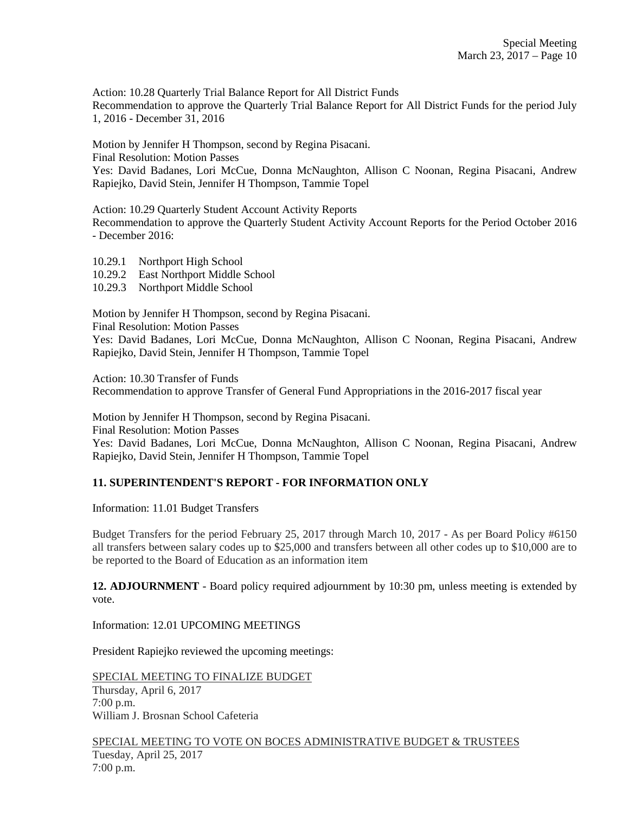Action: 10.28 Quarterly Trial Balance Report for All District Funds Recommendation to approve the Quarterly Trial Balance Report for All District Funds for the period July 1, 2016 - December 31, 2016

Motion by Jennifer H Thompson, second by Regina Pisacani. Final Resolution: Motion Passes Yes: David Badanes, Lori McCue, Donna McNaughton, Allison C Noonan, Regina Pisacani, Andrew Rapiejko, David Stein, Jennifer H Thompson, Tammie Topel

Action: 10.29 Quarterly Student Account Activity Reports

Recommendation to approve the Quarterly Student Activity Account Reports for the Period October 2016 - December 2016:

10.29.1 Northport High School

10.29.2 East Northport Middle School

10.29.3 Northport Middle School

Motion by Jennifer H Thompson, second by Regina Pisacani.

Final Resolution: Motion Passes

Yes: David Badanes, Lori McCue, Donna McNaughton, Allison C Noonan, Regina Pisacani, Andrew Rapiejko, David Stein, Jennifer H Thompson, Tammie Topel

Action: 10.30 Transfer of Funds Recommendation to approve Transfer of General Fund Appropriations in the 2016-2017 fiscal year

Motion by Jennifer H Thompson, second by Regina Pisacani.

Final Resolution: Motion Passes

Yes: David Badanes, Lori McCue, Donna McNaughton, Allison C Noonan, Regina Pisacani, Andrew Rapiejko, David Stein, Jennifer H Thompson, Tammie Topel

## **11. SUPERINTENDENT'S REPORT - FOR INFORMATION ONLY**

Information: 11.01 Budget Transfers

Budget Transfers for the period February 25, 2017 through March 10, 2017 - As per Board Policy #6150 all transfers between salary codes up to \$25,000 and transfers between all other codes up to \$10,000 are to be reported to the Board of Education as an information item

**12. ADJOURNMENT** - Board policy required adjournment by 10:30 pm, unless meeting is extended by vote.

Information: 12.01 UPCOMING MEETINGS

President Rapiejko reviewed the upcoming meetings:

SPECIAL MEETING TO FINALIZE BUDGET Thursday, April 6, 2017 7:00 p.m. William J. Brosnan School Cafeteria

SPECIAL MEETING TO VOTE ON BOCES ADMINISTRATIVE BUDGET & TRUSTEES Tuesday, April 25, 2017 7:00 p.m.